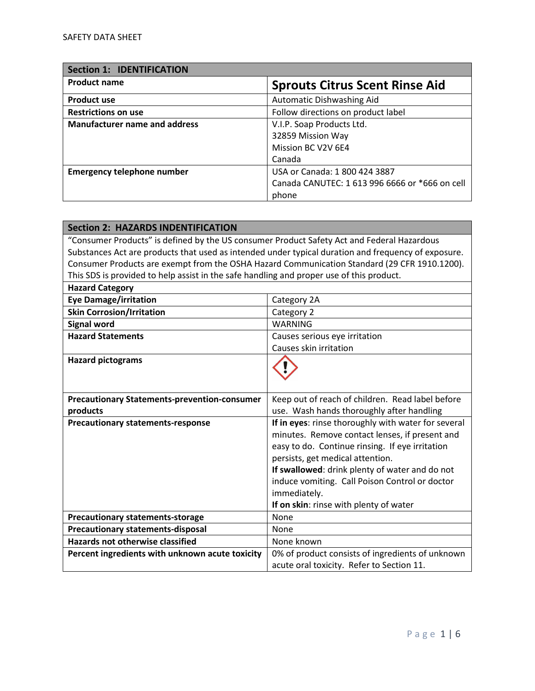| <b>Section 1: IDENTIFICATION</b>     |                                                |
|--------------------------------------|------------------------------------------------|
| <b>Product name</b>                  | <b>Sprouts Citrus Scent Rinse Aid</b>          |
| <b>Product use</b>                   | Automatic Dishwashing Aid                      |
| <b>Restrictions on use</b>           | Follow directions on product label             |
| <b>Manufacturer name and address</b> | V.I.P. Soap Products Ltd.                      |
|                                      | 32859 Mission Way                              |
|                                      | Mission BC V2V 6E4                             |
|                                      | Canada                                         |
| <b>Emergency telephone number</b>    | USA or Canada: 1 800 424 3887                  |
|                                      | Canada CANUTEC: 1 613 996 6666 or *666 on cell |
|                                      | phone                                          |

| <b>Section 2: HAZARDS INDENTIFICATION</b>                                                  |                                                                                                     |
|--------------------------------------------------------------------------------------------|-----------------------------------------------------------------------------------------------------|
| "Consumer Products" is defined by the US consumer Product Safety Act and Federal Hazardous |                                                                                                     |
|                                                                                            | Substances Act are products that used as intended under typical duration and frequency of exposure. |
|                                                                                            | Consumer Products are exempt from the OSHA Hazard Communication Standard (29 CFR 1910.1200).        |
| This SDS is provided to help assist in the safe handling and proper use of this product.   |                                                                                                     |
| <b>Hazard Category</b>                                                                     |                                                                                                     |
| <b>Eye Damage/irritation</b>                                                               | Category 2A                                                                                         |
| <b>Skin Corrosion/Irritation</b>                                                           | Category 2                                                                                          |
| <b>Signal word</b>                                                                         | <b>WARNING</b>                                                                                      |
| <b>Hazard Statements</b>                                                                   | Causes serious eye irritation                                                                       |
|                                                                                            | Causes skin irritation                                                                              |
| <b>Hazard pictograms</b>                                                                   |                                                                                                     |
|                                                                                            |                                                                                                     |
|                                                                                            |                                                                                                     |
| <b>Precautionary Statements-prevention-consumer</b>                                        | Keep out of reach of children. Read label before                                                    |
| products                                                                                   | use. Wash hands thoroughly after handling                                                           |
| <b>Precautionary statements-response</b>                                                   | If in eyes: rinse thoroughly with water for several                                                 |
|                                                                                            | minutes. Remove contact lenses, if present and                                                      |
|                                                                                            | easy to do. Continue rinsing. If eye irritation                                                     |
|                                                                                            | persists, get medical attention.                                                                    |
|                                                                                            | If swallowed: drink plenty of water and do not                                                      |
|                                                                                            | induce vomiting. Call Poison Control or doctor                                                      |
|                                                                                            | immediately.                                                                                        |
|                                                                                            | If on skin: rinse with plenty of water                                                              |
| <b>Precautionary statements-storage</b>                                                    | None                                                                                                |
| <b>Precautionary statements-disposal</b>                                                   | None                                                                                                |
| <b>Hazards not otherwise classified</b>                                                    | None known                                                                                          |
| Percent ingredients with unknown acute toxicity                                            | 0% of product consists of ingredients of unknown                                                    |
|                                                                                            | acute oral toxicity. Refer to Section 11.                                                           |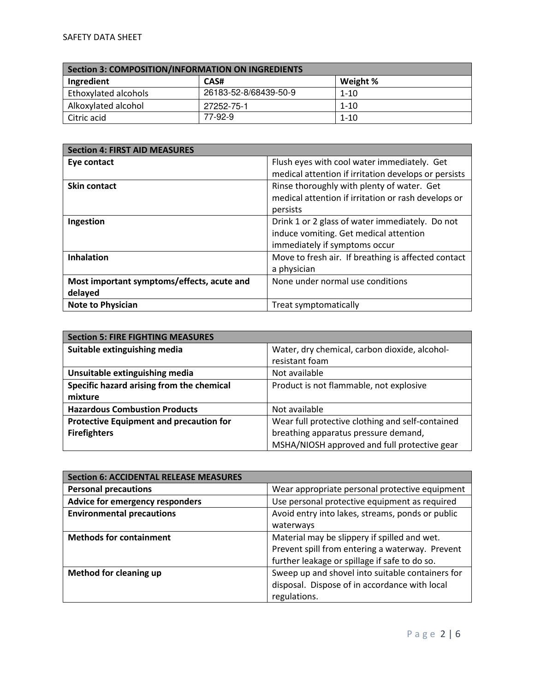| Section 3: COMPOSITION/INFORMATION ON INGREDIENTS |                       |          |
|---------------------------------------------------|-----------------------|----------|
| Ingredient                                        | CAS#                  | Weight % |
| Ethoxylated alcohols                              | 26183-52-8/68439-50-9 | $1 - 10$ |
| Alkoxylated alcohol                               | 27252-75-1            | $1 - 10$ |
| Citric acid                                       | 77-92-9               | $1 - 10$ |

| <b>Section 4: FIRST AID MEASURES</b>       |                                                      |
|--------------------------------------------|------------------------------------------------------|
| Eye contact                                | Flush eyes with cool water immediately. Get          |
|                                            | medical attention if irritation develops or persists |
| <b>Skin contact</b>                        | Rinse thoroughly with plenty of water. Get           |
|                                            | medical attention if irritation or rash develops or  |
|                                            | persists                                             |
| Ingestion                                  | Drink 1 or 2 glass of water immediately. Do not      |
|                                            | induce vomiting. Get medical attention               |
|                                            | immediately if symptoms occur                        |
| <b>Inhalation</b>                          | Move to fresh air. If breathing is affected contact  |
|                                            | a physician                                          |
| Most important symptoms/effects, acute and | None under normal use conditions                     |
| delayed                                    |                                                      |
| <b>Note to Physician</b>                   | Treat symptomatically                                |

| <b>Section 5: FIRE FIGHTING MEASURES</b>       |                                                  |
|------------------------------------------------|--------------------------------------------------|
| Suitable extinguishing media                   | Water, dry chemical, carbon dioxide, alcohol-    |
|                                                | resistant foam                                   |
| Unsuitable extinguishing media                 | Not available                                    |
| Specific hazard arising from the chemical      | Product is not flammable, not explosive          |
| mixture                                        |                                                  |
| <b>Hazardous Combustion Products</b>           | Not available                                    |
| <b>Protective Equipment and precaution for</b> | Wear full protective clothing and self-contained |
| <b>Firefighters</b>                            | breathing apparatus pressure demand,             |
|                                                | MSHA/NIOSH approved and full protective gear     |

| <b>Section 6: ACCIDENTAL RELEASE MEASURES</b> |                                                  |
|-----------------------------------------------|--------------------------------------------------|
| <b>Personal precautions</b>                   | Wear appropriate personal protective equipment   |
| Advice for emergency responders               | Use personal protective equipment as required    |
| <b>Environmental precautions</b>              | Avoid entry into lakes, streams, ponds or public |
|                                               | waterways                                        |
| <b>Methods for containment</b>                | Material may be slippery if spilled and wet.     |
|                                               | Prevent spill from entering a waterway. Prevent  |
|                                               | further leakage or spillage if safe to do so.    |
| <b>Method for cleaning up</b>                 | Sweep up and shovel into suitable containers for |
|                                               | disposal. Dispose of in accordance with local    |
|                                               | regulations.                                     |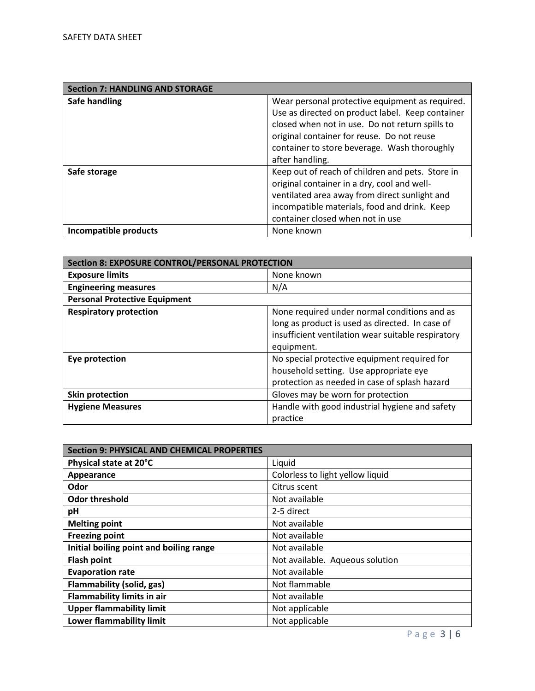| <b>Section 7: HANDLING AND STORAGE</b> |                                                  |
|----------------------------------------|--------------------------------------------------|
| Safe handling                          | Wear personal protective equipment as required.  |
|                                        | Use as directed on product label. Keep container |
|                                        | closed when not in use. Do not return spills to  |
|                                        | original container for reuse. Do not reuse       |
|                                        | container to store beverage. Wash thoroughly     |
|                                        | after handling.                                  |
| Safe storage                           | Keep out of reach of children and pets. Store in |
|                                        | original container in a dry, cool and well-      |
|                                        | ventilated area away from direct sunlight and    |
|                                        | incompatible materials, food and drink. Keep     |
|                                        | container closed when not in use                 |
| Incompatible products                  | None known                                       |

| <b>Section 8: EXPOSURE CONTROL/PERSONAL PROTECTION</b> |                                                    |
|--------------------------------------------------------|----------------------------------------------------|
| <b>Exposure limits</b>                                 | None known                                         |
| <b>Engineering measures</b>                            | N/A                                                |
| <b>Personal Protective Equipment</b>                   |                                                    |
| <b>Respiratory protection</b>                          | None required under normal conditions and as       |
|                                                        | long as product is used as directed. In case of    |
|                                                        | insufficient ventilation wear suitable respiratory |
|                                                        | equipment.                                         |
| Eye protection                                         | No special protective equipment required for       |
|                                                        | household setting. Use appropriate eye             |
|                                                        | protection as needed in case of splash hazard      |
| <b>Skin protection</b>                                 | Gloves may be worn for protection                  |
| <b>Hygiene Measures</b>                                | Handle with good industrial hygiene and safety     |
|                                                        | practice                                           |

| <b>Section 9: PHYSICAL AND CHEMICAL PROPERTIES</b> |                                  |
|----------------------------------------------------|----------------------------------|
| Physical state at 20°C                             | Liquid                           |
| Appearance                                         | Colorless to light yellow liquid |
| Odor                                               | Citrus scent                     |
| <b>Odor threshold</b>                              | Not available                    |
| рH                                                 | 2-5 direct                       |
| <b>Melting point</b>                               | Not available                    |
| <b>Freezing point</b>                              | Not available                    |
| Initial boiling point and boiling range            | Not available                    |
| <b>Flash point</b>                                 | Not available. Aqueous solution  |
| <b>Evaporation rate</b>                            | Not available                    |
| <b>Flammability (solid, gas)</b>                   | Not flammable                    |
| <b>Flammability limits in air</b>                  | Not available                    |
| <b>Upper flammability limit</b>                    | Not applicable                   |
| <b>Lower flammability limit</b>                    | Not applicable                   |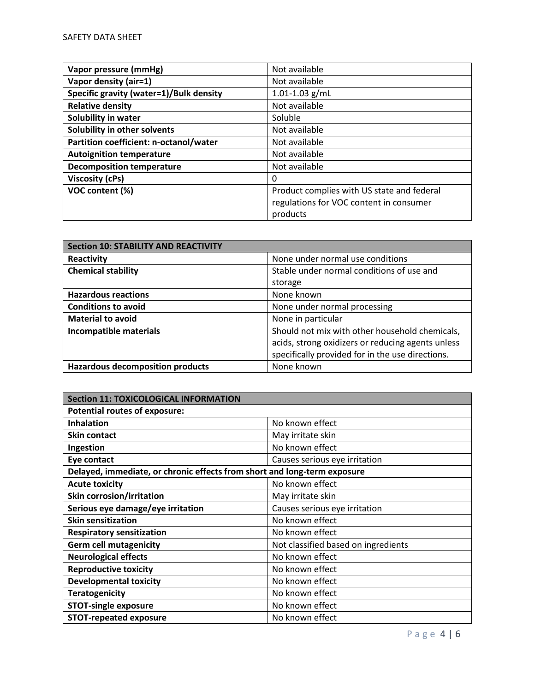| Vapor pressure (mmHg)                   | Not available                              |
|-----------------------------------------|--------------------------------------------|
| Vapor density (air=1)                   | Not available                              |
| Specific gravity (water=1)/Bulk density | $1.01 - 1.03$ g/mL                         |
| <b>Relative density</b>                 | Not available                              |
| Solubility in water                     | Soluble                                    |
| Solubility in other solvents            | Not available                              |
| Partition coefficient: n-octanol/water  | Not available                              |
| <b>Autoignition temperature</b>         | Not available                              |
| <b>Decomposition temperature</b>        | Not available                              |
| <b>Viscosity (cPs)</b>                  | 0                                          |
| VOC content (%)                         | Product complies with US state and federal |
|                                         | regulations for VOC content in consumer    |
|                                         | products                                   |

| <b>Section 10: STABILITY AND REACTIVITY</b> |                                                   |
|---------------------------------------------|---------------------------------------------------|
| Reactivity                                  | None under normal use conditions                  |
| <b>Chemical stability</b>                   | Stable under normal conditions of use and         |
|                                             | storage                                           |
| <b>Hazardous reactions</b>                  | None known                                        |
| <b>Conditions to avoid</b>                  | None under normal processing                      |
| <b>Material to avoid</b>                    | None in particular                                |
| Incompatible materials                      | Should not mix with other household chemicals,    |
|                                             | acids, strong oxidizers or reducing agents unless |
|                                             | specifically provided for in the use directions.  |
| <b>Hazardous decomposition products</b>     | None known                                        |

| <b>Section 11: TOXICOLOGICAL INFORMATION</b>                             |                                     |  |
|--------------------------------------------------------------------------|-------------------------------------|--|
| <b>Potential routes of exposure:</b>                                     |                                     |  |
| <b>Inhalation</b>                                                        | No known effect                     |  |
| <b>Skin contact</b>                                                      | May irritate skin                   |  |
| Ingestion                                                                | No known effect                     |  |
| Eye contact                                                              | Causes serious eye irritation       |  |
| Delayed, immediate, or chronic effects from short and long-term exposure |                                     |  |
| <b>Acute toxicity</b>                                                    | No known effect                     |  |
| <b>Skin corrosion/irritation</b>                                         | May irritate skin                   |  |
| Serious eye damage/eye irritation                                        | Causes serious eye irritation       |  |
| <b>Skin sensitization</b>                                                | No known effect                     |  |
| <b>Respiratory sensitization</b>                                         | No known effect                     |  |
| <b>Germ cell mutagenicity</b>                                            | Not classified based on ingredients |  |
| <b>Neurological effects</b>                                              | No known effect                     |  |
| <b>Reproductive toxicity</b>                                             | No known effect                     |  |
| <b>Developmental toxicity</b>                                            | No known effect                     |  |
| <b>Teratogenicity</b>                                                    | No known effect                     |  |
| <b>STOT-single exposure</b>                                              | No known effect                     |  |
| <b>STOT-repeated exposure</b>                                            | No known effect                     |  |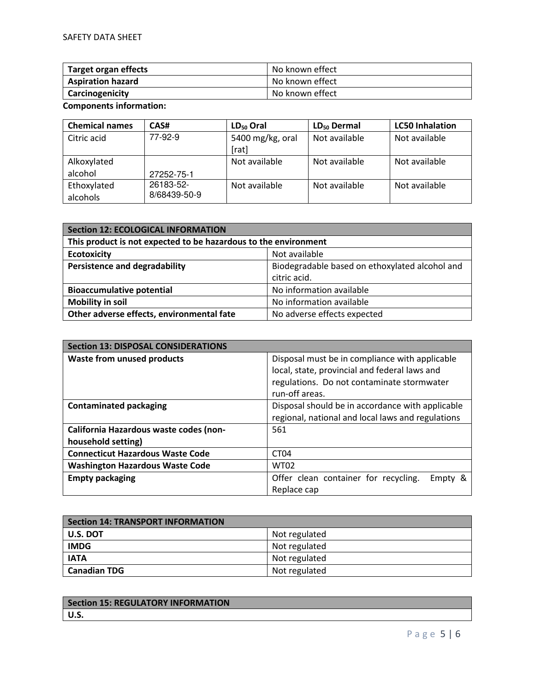| Target organ effects     | No known effect |
|--------------------------|-----------------|
| <b>Aspiration hazard</b> | No known effect |
| Carcinogenicity          | No known effect |

**Components information:** 

| <b>Chemical names</b> | CAS#         | $LD_{50}$ Oral   | $LD_{50}$ Dermal | <b>LC50 Inhalation</b> |
|-----------------------|--------------|------------------|------------------|------------------------|
| Citric acid           | 77-92-9      | 5400 mg/kg, oral | Not available    | Not available          |
|                       |              | [rat]            |                  |                        |
| Alkoxylated           |              | Not available    | Not available    | Not available          |
| alcohol               | 27252-75-1   |                  |                  |                        |
| Ethoxylated           | 26183-52-    | Not available    | Not available    | Not available          |
| alcohols              | 8/68439-50-9 |                  |                  |                        |

| Section 12: ECOLOGICAL INFORMATION                              |                                                                |  |
|-----------------------------------------------------------------|----------------------------------------------------------------|--|
| This product is not expected to be hazardous to the environment |                                                                |  |
| <b>Ecotoxicity</b>                                              | Not available                                                  |  |
| <b>Persistence and degradability</b>                            | Biodegradable based on ethoxylated alcohol and<br>citric acid. |  |
| <b>Bioaccumulative potential</b>                                | No information available                                       |  |
| <b>Mobility in soil</b>                                         | No information available                                       |  |
| Other adverse effects, environmental fate                       | No adverse effects expected                                    |  |

| <b>Section 13: DISPOSAL CONSIDERATIONS</b> |                                                   |  |  |
|--------------------------------------------|---------------------------------------------------|--|--|
| <b>Waste from unused products</b>          | Disposal must be in compliance with applicable    |  |  |
|                                            | local, state, provincial and federal laws and     |  |  |
|                                            | regulations. Do not contaminate stormwater        |  |  |
|                                            | run-off areas.                                    |  |  |
| <b>Contaminated packaging</b>              | Disposal should be in accordance with applicable  |  |  |
|                                            | regional, national and local laws and regulations |  |  |
| California Hazardous waste codes (non-     | 561                                               |  |  |
| household setting)                         |                                                   |  |  |
| <b>Connecticut Hazardous Waste Code</b>    | CT <sub>04</sub>                                  |  |  |
| <b>Washington Hazardous Waste Code</b>     | <b>WT02</b>                                       |  |  |
| <b>Empty packaging</b>                     | Offer clean container for recycling.<br>Empty &   |  |  |
|                                            | Replace cap                                       |  |  |

| Section 14: TRANSPORT INFORMATION |               |  |
|-----------------------------------|---------------|--|
| <b>U.S. DOT</b>                   | Not regulated |  |
| <b>IMDG</b>                       | Not regulated |  |
| <b>IATA</b>                       | Not regulated |  |
| <b>Canadian TDG</b>               | Not regulated |  |

| <b>Section 15: REGULATORY INFORMATION</b> |  |
|-------------------------------------------|--|
| <b>U.S.</b>                               |  |